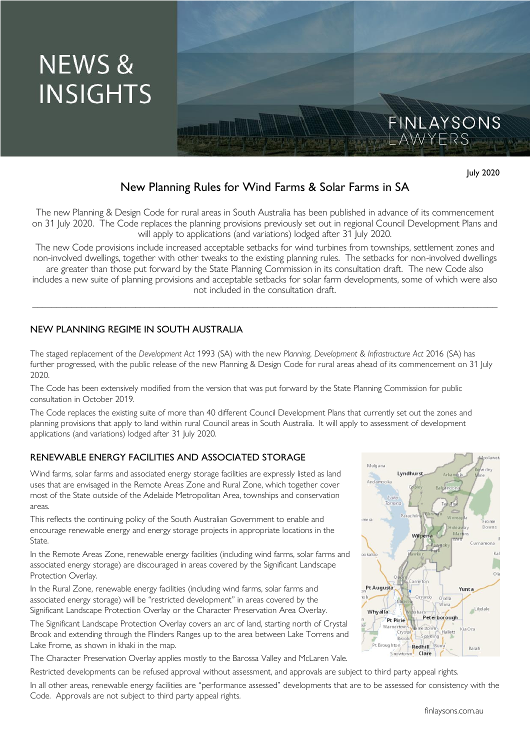

# July 2020

FINLAYSONS<br>LAWYERS

## New Planning Rules for Wind Farms & Solar Farms in SA

The new Planning & Design Code for rural areas in South Australia has been published in advance of its commencement on 31 July 2020. The Code replaces the planning provisions previously set out in regional Council Development Plans and will apply to applications (and variations) lodged after 31 July 2020.

The new Code provisions include increased acceptable setbacks for wind turbines from townships, settlement zones and non-involved dwellings, together with other tweaks to the existing planning rules. The setbacks for non-involved dwellings are greater than those put forward by the State Planning Commission in its consultation draft. The new Code also

includes a new suite of planning provisions and acceptable setbacks for solar farm developments, some of which were also not included in the consultation draft.

\_\_\_\_\_\_\_\_\_\_\_\_\_\_\_\_\_\_\_\_\_\_\_\_\_\_\_\_\_\_\_\_\_\_\_\_\_\_\_\_\_\_\_\_\_\_\_\_\_\_\_\_\_\_\_\_\_\_\_\_\_\_\_\_\_\_\_\_\_\_\_\_\_\_\_\_\_\_\_\_\_\_\_\_\_\_\_\_\_\_\_\_\_\_\_

#### NEW PLANNING REGIME IN SOUTH AUSTRALIA

The staged replacement of the *Development Act* 1993 (SA) with the new *Planning, Development & Infrastructure Act* 2016 (SA) has further progressed, with the public release of the new Planning & Design Code for rural areas ahead of its commencement on 31 July 2020.

The Code has been extensively modified from the version that was put forward by the State Planning Commission for public consultation in October 2019.

The Code replaces the existing suite of more than 40 different Council Development Plans that currently set out the zones and planning provisions that apply to land within rural Council areas in South Australia. It will apply to assessment of development applications (and variations) lodged after 31 July 2020.

#### RENEWABLE ENERGY FACILITIES AND ASSOCIATED STORAGE

Wind farms, solar farms and associated energy storage facilities are expressly listed as land uses that are envisaged in the Remote Areas Zone and Rural Zone, which together cover most of the State outside of the Adelaide Metropolitan Area, townships and conservation areas.

This reflects the continuing policy of the South Australian Government to enable and encourage renewable energy and energy storage projects in appropriate locations in the State.

In the Remote Areas Zone, renewable energy facilities (including wind farms, solar farms and associated energy storage) are discouraged in areas covered by the Significant Landscape Protection Overlay.

In the Rural Zone, renewable energy facilities (including wind farms, solar farms and associated energy storage) will be "restricted development" in areas covered by the Significant Landscape Protection Overlay or the Character Preservation Area Overlay.

The Significant Landscape Protection Overlay covers an arc of land, starting north of Crystal Brook and extending through the Flinders Ranges up to the area between Lake Torrens and Lake Frome, as shown in khaki in the map.

The Character Preservation Overlay applies mostly to the Barossa Valley and McLaren Vale.

Restricted developments can be refused approval without assessment, and approvals are subject to third party appeal rights.

In all other areas, renewable energy facilities are "performance assessed" developments that are to be assessed for consistency with the Code. Approvals are not subject to third party appeal rights.